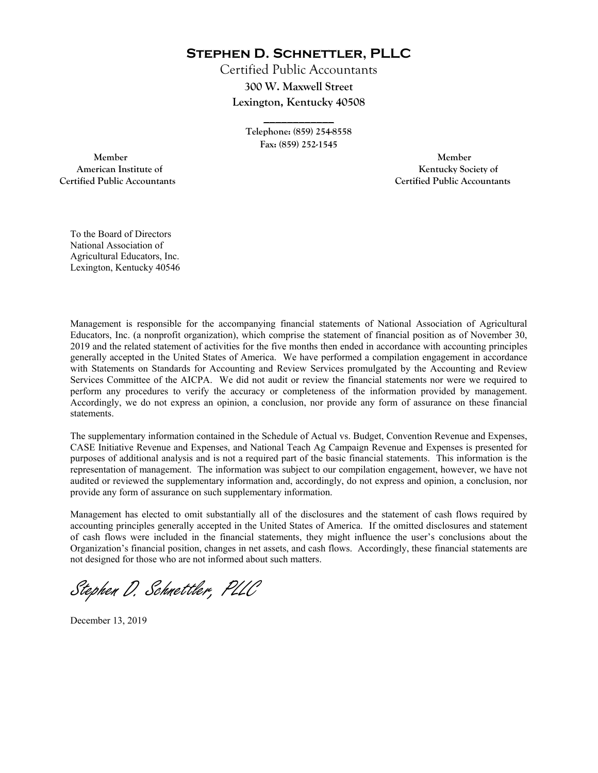**Stephen D. Schnettler, PLLC**

Certified Public Accountants **300 W. Maxwell Street Lexington, Kentucky 40508** 

> **Telephone: (859) 254-8558 Fax: (859) 252-1545**

**\_\_\_\_\_\_\_\_\_\_\_\_** 

 **Member Member Certified Public Accountants Certified Public Accountants** 

American Institute of **Kentucky Society of** 

To the Board of Directors National Association of Agricultural Educators, Inc. Lexington, Kentucky 40546

Management is responsible for the accompanying financial statements of National Association of Agricultural Educators, Inc. (a nonprofit organization), which comprise the statement of financial position as of November 30, 2019 and the related statement of activities for the five months then ended in accordance with accounting principles generally accepted in the United States of America. We have performed a compilation engagement in accordance with Statements on Standards for Accounting and Review Services promulgated by the Accounting and Review Services Committee of the AICPA. We did not audit or review the financial statements nor were we required to perform any procedures to verify the accuracy or completeness of the information provided by management. Accordingly, we do not express an opinion, a conclusion, nor provide any form of assurance on these financial statements.

The supplementary information contained in the Schedule of Actual vs. Budget, Convention Revenue and Expenses, CASE Initiative Revenue and Expenses, and National Teach Ag Campaign Revenue and Expenses is presented for purposes of additional analysis and is not a required part of the basic financial statements. This information is the representation of management. The information was subject to our compilation engagement, however, we have not audited or reviewed the supplementary information and, accordingly, do not express and opinion, a conclusion, nor provide any form of assurance on such supplementary information.

Management has elected to omit substantially all of the disclosures and the statement of cash flows required by accounting principles generally accepted in the United States of America. If the omitted disclosures and statement of cash flows were included in the financial statements, they might influence the user's conclusions about the Organization's financial position, changes in net assets, and cash flows. Accordingly, these financial statements are not designed for those who are not informed about such matters.

Stephen D. Schnettler, PLLC

December 13, 2019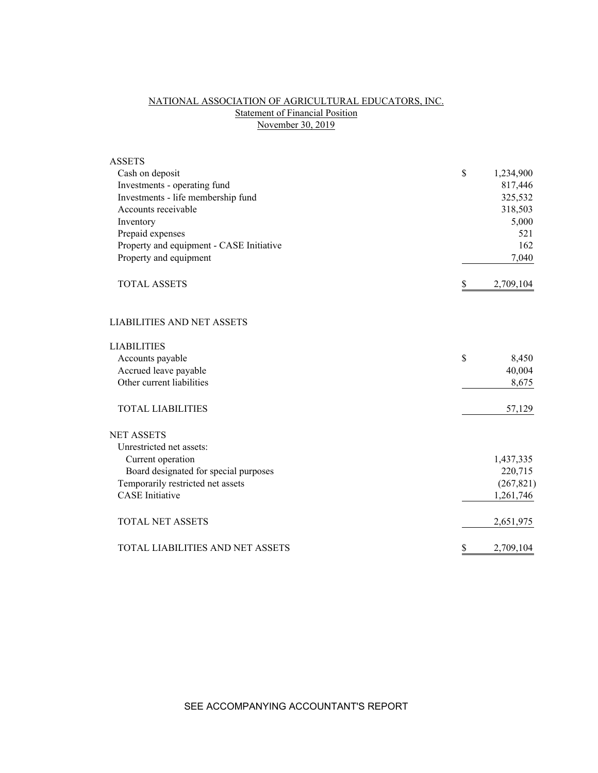# NATIONAL ASSOCIATION OF AGRICULTURAL EDUCATORS, INC. Statement of Financial Position November 30, 2019

| <b>ASSETS</b>                            |                 |
|------------------------------------------|-----------------|
| Cash on deposit                          | \$<br>1,234,900 |
| Investments - operating fund             | 817,446         |
| Investments - life membership fund       | 325,532         |
| Accounts receivable                      | 318,503         |
| Inventory                                | 5,000           |
| Prepaid expenses                         | 521             |
| Property and equipment - CASE Initiative | 162             |
| Property and equipment                   | 7,040           |
| <b>TOTAL ASSETS</b>                      | \$<br>2,709,104 |
| <b>LIABILITIES AND NET ASSETS</b>        |                 |
| <b>LIABILITIES</b>                       |                 |
| Accounts payable                         | \$<br>8,450     |
| Accrued leave payable                    | 40,004          |
| Other current liabilities                | 8,675           |
| <b>TOTAL LIABILITIES</b>                 | 57,129          |
| <b>NET ASSETS</b>                        |                 |
| Unrestricted net assets:                 |                 |
| Current operation                        | 1,437,335       |
| Board designated for special purposes    | 220,715         |
| Temporarily restricted net assets        | (267, 821)      |
| <b>CASE</b> Initiative                   | 1,261,746       |
| <b>TOTAL NET ASSETS</b>                  | 2,651,975       |
| TOTAL LIABILITIES AND NET ASSETS         | \$<br>2,709,104 |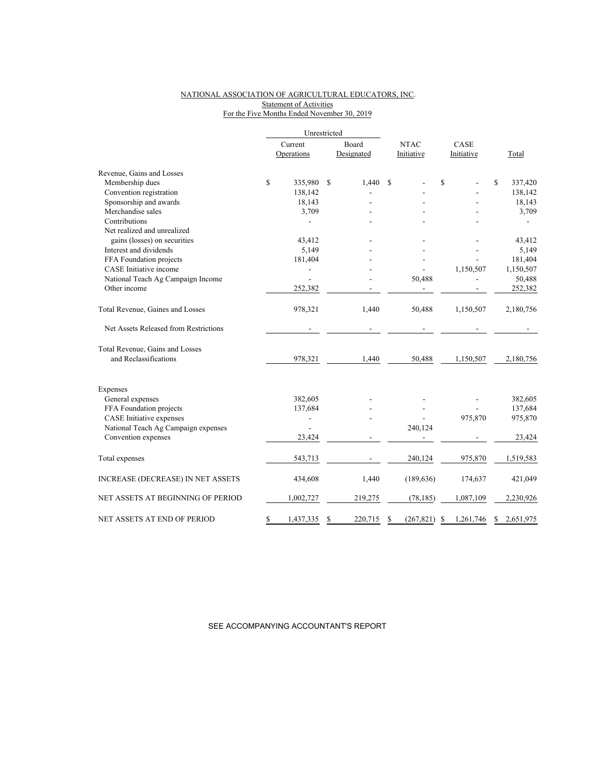### NATIONAL ASSOCIATION OF AGRICULTURAL EDUCATORS, INC. **Statement of Activities** For the Five Months Ended November 30, 2019

|                                          |         | Unrestricted   |               |             |            |      |            |    |           |
|------------------------------------------|---------|----------------|---------------|-------------|------------|------|------------|----|-----------|
|                                          | Current |                | Board         | <b>NTAC</b> |            | CASE |            |    |           |
|                                          |         | Operations     | Designated    |             | Initiative |      | Initiative |    | Total     |
| Revenue, Gains and Losses                |         |                |               |             |            |      |            |    |           |
| Membership dues                          | \$      | 335,980        | \$<br>1,440   | S           |            | \$   |            | \$ | 337,420   |
| Convention registration                  |         | 138,142        |               |             |            |      |            |    | 138,142   |
| Sponsorship and awards                   |         | 18,143         |               |             |            |      |            |    | 18,143    |
| Merchandise sales                        |         | 3,709          |               |             |            |      |            |    | 3,709     |
| Contributions                            |         |                |               |             |            |      |            |    |           |
| Net realized and unrealized              |         |                |               |             |            |      |            |    |           |
| gains (losses) on securities             |         | 43,412         |               |             |            |      |            |    | 43,412    |
| Interest and dividends                   |         | 5,149          |               |             |            |      |            |    | 5,149     |
| FFA Foundation projects                  |         | 181,404        |               |             |            |      |            |    | 181,404   |
| CASE Initiative income                   |         |                |               |             |            |      | 1,150,507  |    | 1,150,507 |
| National Teach Ag Campaign Income        |         |                |               |             | 50,488     |      |            |    | 50,488    |
| Other income                             |         | 252,382        |               |             |            |      |            |    | 252,382   |
| Total Revenue, Gaines and Losses         |         | 978,321        | 1,440         |             | 50,488     |      | 1,150,507  |    | 2,180,756 |
| Net Assets Released from Restrictions    |         |                |               |             |            |      |            |    |           |
| Total Revenue, Gains and Losses          |         |                |               |             |            |      |            |    |           |
| and Reclassifications                    |         | 978,321        | 1,440         |             | 50,488     |      | 1,150,507  |    | 2,180,756 |
| Expenses                                 |         |                |               |             |            |      |            |    |           |
| General expenses                         |         | 382,605        |               |             |            |      |            |    | 382,605   |
| FFA Foundation projects                  |         | 137,684        |               |             |            |      |            |    | 137,684   |
| CASE Initiative expenses                 |         | $\overline{a}$ |               |             |            |      | 975,870    |    | 975,870   |
| National Teach Ag Campaign expenses      |         |                |               |             | 240,124    |      |            |    |           |
| Convention expenses                      |         | 23,424         |               |             |            |      |            |    | 23,424    |
| Total expenses                           |         | 543,713        |               |             | 240,124    |      | 975,870    |    | 1,519,583 |
| <b>INCREASE (DECREASE) IN NET ASSETS</b> |         | 434,608        | 1,440         |             | (189, 636) |      | 174,637    |    | 421,049   |
| NET ASSETS AT BEGINNING OF PERIOD        |         | 1,002,727      | 219,275       |             | (78, 185)  |      | 1,087,109  |    | 2,230,926 |
| NET ASSETS AT END OF PERIOD              | \$      | 1,437,335      | \$<br>220,715 | S           | (267, 821) | S    | 1,261,746  | \$ | 2,651,975 |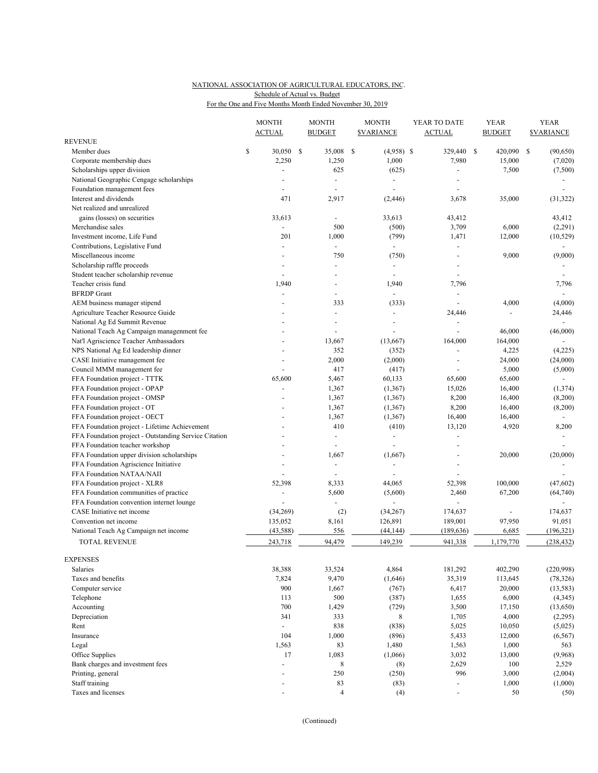# NATIONAL ASSOCIATION OF AGRICULTURAL EDUCATORS, INC. For the One and Five Months Month Ended November 30, 2019 Schedule of Actual vs. Budget

|                                                       |    | <b>MONTH</b><br><b>ACTUAL</b> |      | <b>MONTH</b><br><b>BUDGET</b> |    | <b>MONTH</b><br><b><i>SVARIANCE</i></b> | YEAR TO DATE<br><b>ACTUAL</b> |    | <b>YEAR</b><br><b>BUDGET</b> |    | <b>YEAR</b><br><b><i>SVARIANCE</i></b> |  |
|-------------------------------------------------------|----|-------------------------------|------|-------------------------------|----|-----------------------------------------|-------------------------------|----|------------------------------|----|----------------------------------------|--|
| REVENUE                                               |    |                               |      |                               |    |                                         |                               |    |                              |    |                                        |  |
| Member dues                                           | \$ | 30,050                        | - \$ | 35,008                        | \$ | $(4,958)$ \$                            | 329,440                       | \$ | 420,090                      | \$ | (90, 650)                              |  |
| Corporate membership dues                             |    | 2,250                         |      | 1,250                         |    | 1,000                                   | 7,980                         |    | 15,000                       |    | (7,020)                                |  |
| Scholarships upper division                           |    |                               |      | 625                           |    | (625)                                   |                               |    | 7,500                        |    | (7,500)                                |  |
| National Geographic Cengage scholarships              |    |                               |      | $\blacksquare$                |    | $\overline{\phantom{a}}$                |                               |    |                              |    |                                        |  |
| Foundation management fees                            |    |                               |      | $\blacksquare$                |    |                                         |                               |    |                              |    |                                        |  |
| Interest and dividends                                |    | 471                           |      | 2,917                         |    | (2, 446)                                | 3,678                         |    | 35,000                       |    | (31, 322)                              |  |
| Net realized and unrealized                           |    |                               |      |                               |    |                                         |                               |    |                              |    |                                        |  |
| gains (losses) on securities                          |    | 33,613                        |      |                               |    | 33,613                                  | 43,412                        |    |                              |    | 43,412                                 |  |
| Merchandise sales                                     |    | $\overline{a}$                |      | 500                           |    | (500)                                   | 3,709                         |    | 6,000                        |    | (2,291)                                |  |
| Investment income, Life Fund                          |    | 201                           |      | 1,000                         |    | (799)                                   | 1,471                         |    | 12,000                       |    | (10, 529)                              |  |
| Contributions, Legislative Fund                       |    | $\overline{a}$                |      | $\blacksquare$                |    | $\blacksquare$                          | $\overline{a}$                |    |                              |    | $\sim$                                 |  |
| Miscellaneous income                                  |    |                               |      | 750                           |    | (750)                                   |                               |    | 9,000                        |    | (9,000)                                |  |
| Scholarship raffle proceeds                           |    |                               |      | $\overline{\phantom{a}}$      |    |                                         |                               |    |                              |    |                                        |  |
| Student teacher scholarship revenue                   |    |                               |      |                               |    |                                         |                               |    |                              |    |                                        |  |
| Teacher crisis fund                                   |    | 1,940                         |      |                               |    | 1,940                                   | 7,796                         |    |                              |    | 7,796                                  |  |
| <b>BFRDP</b> Grant                                    |    |                               |      |                               |    |                                         | $\sim$                        |    |                              |    | $\blacksquare$                         |  |
| AEM business manager stipend                          |    |                               |      | 333                           |    | (333)                                   | ÷,                            |    | 4,000                        |    | (4,000)                                |  |
| Agriculture Teacher Resource Guide                    |    |                               |      | $\overline{\phantom{a}}$      |    |                                         | 24,446                        |    |                              |    | 24,446                                 |  |
| National Ag Ed Summit Revenue                         |    |                               |      |                               |    |                                         |                               |    |                              |    | $\overline{a}$                         |  |
| National Teach Ag Campaign managenment fee            |    |                               |      |                               |    |                                         |                               |    | 46,000                       |    | (46,000)                               |  |
| Nat'l Agriscience Teacher Ambassadors                 |    |                               |      | 13,667                        |    | (13,667)                                | 164,000                       |    | 164,000                      |    |                                        |  |
| NPS National Ag Ed leadership dinner                  |    |                               |      | 352                           |    | (352)                                   | ÷,                            |    | 4,225                        |    | (4,225)                                |  |
| CASE Initiative management fee                        |    | $\overline{\phantom{a}}$      |      | 2,000                         |    | (2,000)                                 | $\overline{\phantom{a}}$      |    | 24,000                       |    | (24,000)                               |  |
| Council MMM management fee                            |    |                               |      | 417                           |    | (417)                                   |                               |    | 5,000                        |    | (5,000)                                |  |
| FFA Foundation project - TTTK                         |    | 65,600                        |      | 5,467                         |    | 60,133                                  | 65,600                        |    | 65,600                       |    |                                        |  |
| FFA Foundation project - OPAP                         |    | ÷,                            |      | 1,367                         |    | (1, 367)                                | 15,026                        |    | 16,400                       |    | (1, 374)                               |  |
| FFA Foundation project - OMSP                         |    |                               |      | 1,367                         |    | (1, 367)                                | 8,200                         |    | 16,400                       |    | (8,200)                                |  |
| FFA Foundation project - OT                           |    |                               |      | 1,367                         |    | (1, 367)                                | 8,200                         |    | 16,400                       |    | (8,200)                                |  |
| FFA Foundation project - OECT                         |    |                               |      | 1,367                         |    | (1, 367)                                | 16,400                        |    | 16,400                       |    |                                        |  |
| FFA Foundation project - Lifetime Achievement         |    |                               |      | 410                           |    | (410)                                   | 13,120                        |    | 4,920                        |    | 8,200                                  |  |
| FFA Foundation project - Outstanding Service Citation |    |                               |      | $\overline{\phantom{a}}$      |    | $\overline{\phantom{a}}$                | ÷,                            |    |                              |    |                                        |  |
| FFA Foundation teacher workshop                       |    |                               |      | ÷,                            |    |                                         | $\overline{a}$                |    |                              |    |                                        |  |
| FFA Foundation upper division scholarships            |    |                               |      | 1,667                         |    | (1,667)                                 |                               |    | 20,000                       |    | (20,000)                               |  |
| FFA Foundation Agriscience Initiative                 |    |                               |      | $\overline{\phantom{a}}$      |    |                                         | L,                            |    |                              |    |                                        |  |
| FFA Foundation NATAA/NAII                             |    |                               |      |                               |    |                                         |                               |    |                              |    |                                        |  |
| FFA Foundation project - XLR8                         |    | 52,398                        |      | 8,333                         |    | 44,065                                  | 52,398                        |    | 100,000                      |    | (47, 602)                              |  |
| FFA Foundation communities of practice                |    | ÷,                            |      | 5,600                         |    | (5,600)                                 | 2,460                         |    | 67,200                       |    | (64, 740)                              |  |
| FFA Foundation convention internet lounge             |    | $\overline{a}$                |      | $\overline{\phantom{a}}$      |    | $\blacksquare$                          | $\overline{a}$                |    |                              |    |                                        |  |
| CASE Initiative net income                            |    | (34,269)                      |      | (2)                           |    | (34,267)                                | 174,637                       |    |                              |    | 174,637                                |  |
| Convention net income                                 |    | 135,052                       |      | 8,161                         |    | 126,891                                 | 189,001                       |    | 97,950                       |    | 91,051                                 |  |
| National Teach Ag Campaign net income                 |    | (43, 588)                     |      | 556                           |    | (44, 144)                               | (189, 636)                    |    | 6,685                        |    | (196, 321)                             |  |
| <b>TOTAL REVENUE</b>                                  |    | 243,718                       |      | 94,479                        |    | 149,239                                 | 941,338                       |    | 1,179,770                    |    | (238, 432)                             |  |
|                                                       |    |                               |      |                               |    |                                         |                               |    |                              |    |                                        |  |
| <b>EXPENSES</b>                                       |    |                               |      |                               |    |                                         |                               |    |                              |    |                                        |  |
| Salaries                                              |    | 38,388                        |      | 33,524                        |    | 4,864                                   | 181,292                       |    | 402,290                      |    | (220,998)                              |  |
| Taxes and benefits                                    |    | 7,824                         |      | 9,470                         |    | (1,646)                                 | 35,319                        |    | 113,645                      |    | (78, 326)                              |  |
| Computer service                                      |    | 900                           |      | 1,667                         |    | (767)                                   | 6,417                         |    | 20,000                       |    | (13, 583)                              |  |
| Telephone                                             |    | 113                           |      | 500                           |    | (387)                                   | 1,655                         |    | 6,000                        |    | (4,345)                                |  |
| Accounting                                            |    | 700                           |      | 1,429                         |    | (729)                                   | 3,500                         |    | 17,150                       |    | (13,650)                               |  |
| Depreciation                                          |    | 341                           |      | 333                           |    | 8                                       | 1,705                         |    | 4,000                        |    | (2,295)                                |  |
| Rent                                                  |    | ÷,                            |      | 838                           |    | (838)                                   | 5,025                         |    | 10,050                       |    | (5,025)                                |  |
| Insurance                                             |    | 104                           |      | 1,000                         |    | (896)                                   | 5,433                         |    | 12,000                       |    | (6, 567)                               |  |
| Legal                                                 |    | 1,563                         |      | 83                            |    | 1,480                                   | 1,563                         |    | 1,000                        |    | 563                                    |  |
| Office Supplies                                       |    | 17                            |      | 1,083                         |    | (1,066)                                 | 3,032                         |    | 13,000                       |    | (9,968)                                |  |
| Bank charges and investment fees                      |    | $\overline{a}$                |      | 8                             |    | (8)                                     | 2,629                         |    | 100                          |    | 2,529                                  |  |
| Printing, general                                     |    |                               |      | 250                           |    | (250)                                   | 996                           |    | 3,000                        |    | (2,004)                                |  |
| Staff training                                        |    |                               |      | 83                            |    |                                         | $\blacksquare$                |    | 1,000                        |    | (1,000)                                |  |
| Taxes and licenses                                    |    |                               |      | $\overline{4}$                |    | (83)<br>(4)                             |                               |    | 50                           |    | (50)                                   |  |
|                                                       |    |                               |      |                               |    |                                         |                               |    |                              |    |                                        |  |

(Continued)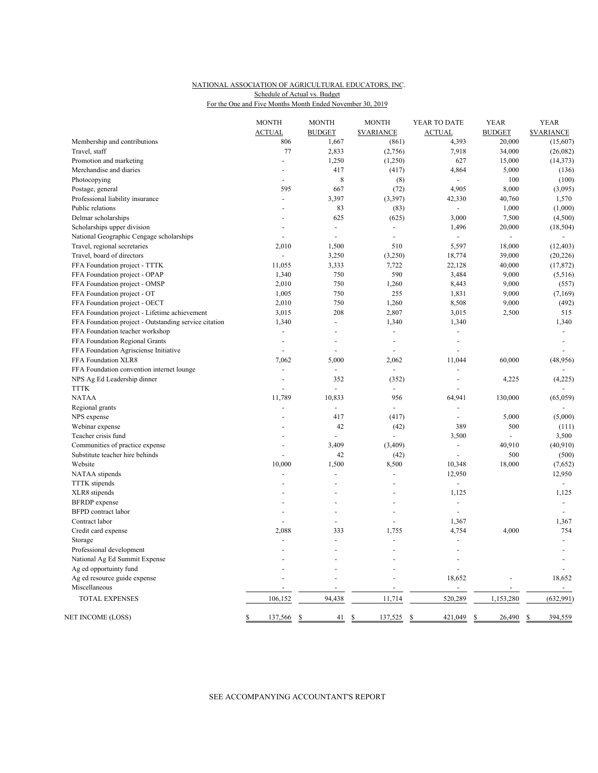# NATIONAL ASSOCIATION OF AGRICULTURAL EDUCATORS, INC. For the One and Five Months Month Ended November 30, 2019 Schedule of Actual vs. Budget

|                                                       | <b>MONTH</b><br><b>ACTUAL</b> | <b>MONTH</b><br><b>BUDGET</b> | <b>MONTH</b><br><b>SVARIANCE</b> | YEAR TO DATE<br><b>ACTUAL</b> | <b>YEAR</b><br><b>BUDGET</b> | <b>YEAR</b><br><b><i>SVARIANCE</i></b> |
|-------------------------------------------------------|-------------------------------|-------------------------------|----------------------------------|-------------------------------|------------------------------|----------------------------------------|
| Membership and contributions                          | 806                           | 1,667                         | (861)                            | 4,393                         | 20,000                       | (15,607)                               |
| Travel, staff                                         | 77                            | 2,833                         | (2,756)                          | 7,918                         | 34,000                       | (26,082)                               |
| Promotion and marketing                               | ÷.                            | 1,250                         | (1,250)                          | 627                           | 15,000                       | (14, 373)                              |
| Merchandise and diaries                               |                               | 417                           | (417)                            | 4,864                         | 5,000                        | (136)                                  |
| Photocopying                                          |                               | 8                             | (8)                              | $\Box$                        | 100                          | (100)                                  |
| Postage, general                                      | 595                           | 667                           | (72)                             | 4,905                         | 8,000                        | (3,095)                                |
| Professional liability insurance                      | $\overline{a}$                | 3,397                         | (3,397)                          | 42,330                        | 40,760                       | 1,570                                  |
| Public relations                                      | $\overline{a}$                | 83                            | (83)                             | $\Box$                        | 1,000                        | (1,000)                                |
| Delmar scholarships                                   |                               | 625                           | (625)                            | 3,000                         | 7,500                        | (4,500)                                |
| Scholarships upper division                           |                               | $\overline{a}$                | $\blacksquare$                   | 1,496                         | 20,000                       | (18, 504)                              |
| National Geographic Cengage scholarships              | $\overline{a}$                | $\overline{a}$                | $\overline{a}$                   |                               | ÷,                           |                                        |
| Travel, regional secretaries                          | 2,010                         | 1,500                         | 510                              | 5,597                         | 18,000                       | (12, 403)                              |
| Travel, board of directors                            | $\overline{a}$                | 3,250                         | (3,250)                          | 18,774                        | 39,000                       | (20, 226)                              |
|                                                       | 11,055                        | 3,333                         | 7,722                            | 22,128                        | 40,000                       | (17, 872)                              |
| FFA Foundation project - TTTK                         | 1,340                         | 750                           | 590                              | 3,484                         | 9,000                        |                                        |
| FFA Foundation project - OPAP                         |                               |                               |                                  |                               |                              | (5,516)                                |
| FFA Foundation project - OMSP                         | 2,010                         | 750                           | 1,260                            | 8,443                         | 9,000                        | (557)                                  |
| FFA Foundation project - OT                           | 1,005                         | 750                           | 255                              | 1,831                         | 9,000                        | (7,169)                                |
| FFA Foundation project - OECT                         | 2,010                         | 750                           | 1,260                            | 8,508                         | 9,000                        | (492)                                  |
| FFA Foundation project - Lifetime achievement         | 3,015                         | 208                           | 2,807                            | 3,015                         | 2,500                        | 515                                    |
| FFA Foundation project - Outstanding service citation | 1,340                         | $\overline{a}$                | 1,340                            | 1,340                         |                              | 1,340                                  |
| FFA Foundation teacher workshop                       | $\overline{\phantom{a}}$      | ÷,                            | ÷,                               | $\sim$                        |                              | $\blacksquare$                         |
| FFA Foundation Regional Grants                        | $\overline{a}$                |                               | $\overline{a}$                   | ÷,                            |                              | $\overline{\phantom{a}}$               |
| FFA Foundation Agrisciense Initiative                 |                               |                               | Ĭ.                               |                               |                              |                                        |
| FFA Foundation XLR8                                   | 7,062                         | 5,000                         | 2,062                            | 11,044                        | 60,000                       | (48, 956)                              |
| FFA Foundation convention internet lounge             |                               |                               |                                  |                               |                              |                                        |
| NPS Ag Ed Leadership dinner                           | $\overline{a}$                | 352                           | (352)                            | ÷,                            | 4,225                        | (4,225)                                |
| <b>TTTK</b>                                           |                               | $\overline{a}$                | $\overline{\phantom{a}}$         |                               |                              | $\overline{a}$                         |
| <b>NATAA</b>                                          | 11,789                        | 10,833                        | 956                              | 64,941                        | 130,000                      | (65,059)                               |
| Regional grants                                       |                               | $\overline{a}$                | $\sim$                           |                               |                              |                                        |
| NPS expense                                           |                               | 417                           | (417)                            | $\overline{\phantom{a}}$      | 5,000                        | (5,000)                                |
| Webinar expense                                       |                               | 42                            | (42)                             | 389                           | 500                          | (111)                                  |
| Teacher crisis fund                                   |                               |                               |                                  | 3,500                         |                              | 3,500                                  |
| Communities of practice expense                       |                               | 3,409                         | (3,409)                          | $\overline{a}$                | 40,910                       | (40, 910)                              |
| Substitute teacher hire behinds                       |                               | 42                            | (42)                             |                               | 500                          | (500)                                  |
| Website                                               | 10,000                        | 1,500                         | 8,500                            | 10,348                        | 18,000                       | (7,652)                                |
| NATAA stipends                                        |                               |                               | L,                               | 12,950                        |                              | 12,950                                 |
| <b>TTTK</b> stipends                                  |                               | $\overline{a}$                | L.                               | ÷,                            |                              | $\overline{a}$                         |
| XLR8 stipends                                         |                               |                               |                                  | 1,125                         |                              | 1,125                                  |
| <b>BFRDP</b> expense                                  |                               | $\overline{a}$                | L.                               | $\overline{a}$                |                              | $\overline{a}$                         |
| <b>BFPD</b> contract labor                            |                               |                               | ÷,                               | ÷,                            |                              | $\blacksquare$                         |
| Contract labor                                        |                               |                               |                                  | 1,367                         |                              | 1,367                                  |
| Credit card expense                                   | 2,088                         | 333                           | 1,755                            | 4,754                         | 4,000                        | 754                                    |
| Storage                                               |                               | $\overline{a}$                |                                  |                               |                              | $\overline{a}$                         |
| Professional development                              |                               |                               |                                  |                               |                              | $\overline{a}$                         |
| National Ag Ed Summit Expense                         |                               |                               |                                  |                               |                              |                                        |
| Ag ed opportuinty fund                                |                               |                               |                                  |                               |                              |                                        |
| Ag ed resource guide expense                          |                               |                               |                                  | 18,652                        |                              | 18,652                                 |
| Miscellaneous                                         |                               | $\overline{a}$                | L,                               | $\overline{a}$                |                              | $\mathbb{Z}^{\mathbb{Z}}$              |
| <b>TOTAL EXPENSES</b>                                 | 106,152                       | 94,438                        | 11,714                           | 520,289                       | 1,153,280                    | (632, 991)                             |
| NET INCOME (LOSS)                                     | \$<br>137,566                 | \$<br>41                      | \$<br>137,525                    | \$<br>421,049                 | 26,490<br>\$                 | $\mathcal{S}$<br>394,559               |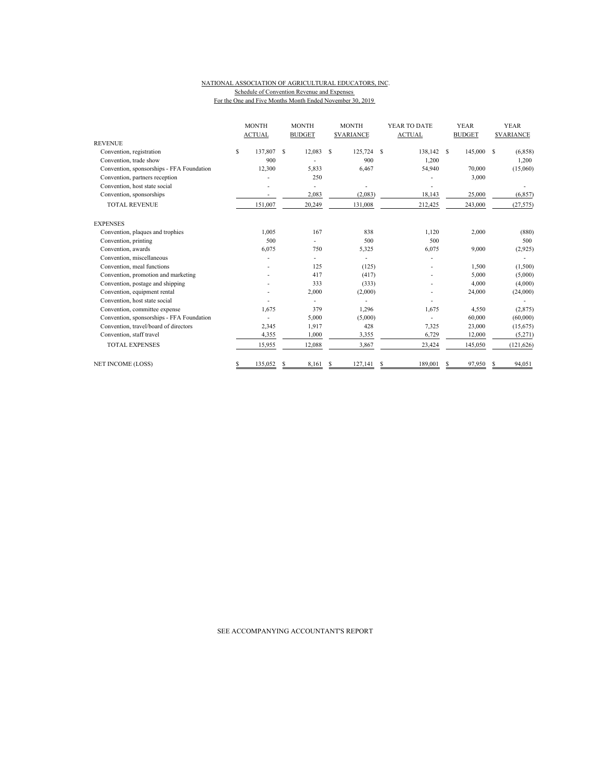#### NATIONAL ASSOCIATION OF AGRICULTURAL EDUCATORS, INC. Schedule of Convention Revenue and Expenses For the One and Five Months Month Ended November 30, 2019

|                                           | <b>MONTH</b><br><b>ACTUAL</b> |         | <b>MONTH</b><br><b>BUDGET</b> |        | <b>MONTH</b><br><b><i>SVARIANCE</i></b> |            | YEAR TO DATE  |         |               | <b>YEAR</b> | <b>YEAR</b><br><b>SVARIANCE</b> |            |
|-------------------------------------------|-------------------------------|---------|-------------------------------|--------|-----------------------------------------|------------|---------------|---------|---------------|-------------|---------------------------------|------------|
|                                           |                               |         |                               |        |                                         |            | <b>ACTUAL</b> |         | <b>BUDGET</b> |             |                                 |            |
| <b>REVENUE</b>                            |                               |         |                               |        |                                         |            |               |         |               |             |                                 |            |
| Convention, registration                  | \$                            | 137,807 | S                             | 12,083 | S                                       | 125,724 \$ |               | 138,142 | S             | 145,000 \$  |                                 | (6,858)    |
| Convention, trade show                    |                               | 900     |                               |        |                                         | 900        |               | 1,200   |               |             |                                 | 1,200      |
| Convention, sponsorships - FFA Foundation |                               | 12,300  |                               | 5,833  |                                         | 6,467      |               | 54,940  |               | 70,000      |                                 | (15,060)   |
| Convention, partners reception            |                               |         |                               | 250    |                                         |            |               |         |               | 3,000       |                                 |            |
| Convention, host state social             |                               |         |                               |        |                                         |            |               |         |               |             |                                 |            |
| Convention, sponsorships                  |                               |         |                               | 2,083  |                                         | (2,083)    |               | 18,143  |               | 25,000      |                                 | (6, 857)   |
| <b>TOTAL REVENUE</b>                      |                               | 151,007 |                               | 20,249 |                                         | 131,008    |               | 212,425 |               | 243,000     |                                 | (27, 575)  |
| <b>EXPENSES</b>                           |                               |         |                               |        |                                         |            |               |         |               |             |                                 |            |
| Convention, plaques and trophies          |                               | 1,005   |                               | 167    |                                         | 838        |               | 1,120   |               | 2,000       |                                 | (880)      |
| Convention, printing                      |                               | 500     |                               |        |                                         | 500        |               | 500     |               |             |                                 | 500        |
| Convention, awards                        |                               | 6.075   |                               | 750    |                                         | 5,325      |               | 6,075   |               | 9.000       |                                 | (2,925)    |
| Convention, miscellaneous                 |                               |         |                               |        |                                         |            |               |         |               |             |                                 |            |
| Convention, meal functions                |                               |         |                               | 125    |                                         | (125)      |               |         |               | 1,500       |                                 | (1,500)    |
| Convention, promotion and marketing       |                               |         |                               | 417    |                                         | (417)      |               |         |               | 5,000       |                                 | (5,000)    |
| Convention, postage and shipping          |                               |         |                               | 333    |                                         | (333)      |               |         |               | 4,000       |                                 | (4,000)    |
| Convention, equipment rental              |                               |         |                               | 2,000  |                                         | (2,000)    |               |         |               | 24,000      |                                 | (24,000)   |
| Convention, host state social             |                               |         |                               |        |                                         |            |               |         |               |             |                                 |            |
| Convention, committee expense             |                               | 1,675   |                               | 379    |                                         | 1,296      |               | 1,675   |               | 4,550       |                                 | (2,875)    |
| Convention, sponsorships - FFA Foundation |                               |         |                               | 5,000  |                                         | (5,000)    |               |         |               | 60,000      |                                 | (60,000)   |
| Convention, travel/board of directors     |                               | 2,345   |                               | 1,917  |                                         | 428        |               | 7,325   |               | 23,000      |                                 | (15,675)   |
| Convention, staff travel                  |                               | 4,355   |                               | 1.000  |                                         | 3,355      |               | 6,729   |               | 12,000      |                                 | (5,271)    |
| <b>TOTAL EXPENSES</b>                     |                               | 15,955  |                               | 12,088 |                                         | 3,867      |               | 23,424  |               | 145,050     |                                 | (121, 626) |
| <b>NET INCOME (LOSS)</b>                  | \$                            | 135.052 | S                             | 8,161  | S                                       | 127,141    |               | 189.001 | S             | 97,950      |                                 | 94,051     |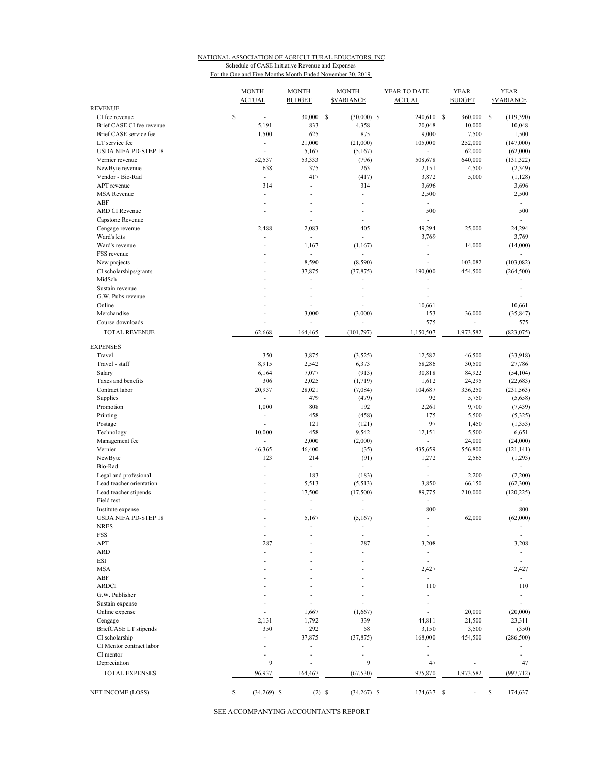# NATIONAL ASSOCIATION OF AGRICULTURAL EDUCATORS, INC. Schedule of CASE Initiative Revenue and Expenses

For the One and Five Months Month Ended November 30, 2019

|                                                     | <b>MONTH</b><br><b>ACTUAL</b> | <b>MONTH</b><br><b>BUDGET</b> | <b>MONTH</b><br><b><i>SVARIANCE</i></b> | YEAR TO DATE<br><b>ACTUAL</b> | <b>YEAR</b><br><b>BUDGET</b> | <b>YEAR</b><br><b>SVARIANCE</b> |
|-----------------------------------------------------|-------------------------------|-------------------------------|-----------------------------------------|-------------------------------|------------------------------|---------------------------------|
| <b>REVENUE</b>                                      |                               |                               |                                         |                               |                              |                                 |
| CI fee revenue                                      | \$<br>÷,                      | 30,000                        | s<br>$(30,000)$ \$                      | 240,610 \$                    | 360,000                      | -S<br>(119,390)                 |
| Brief CASE CI fee revenue<br>Brief CASE service fee | 5,191<br>1,500                | 833<br>625                    | 4,358<br>875                            | 20,048<br>9,000               | 10,000<br>7,500              | 10,048<br>1,500                 |
| LT service fee                                      | ÷                             | 21,000                        | (21,000)                                | 105,000                       | 252,000                      | (147,000)                       |
| <b>USDA NIFA PD-STEP 18</b>                         |                               | 5,167                         | (5,167)                                 |                               | 62,000                       | (62,000)                        |
| Vernier revenue                                     | 52,537                        | 53,333                        | (796)                                   | 508,678                       | 640,000                      | (131, 322)                      |
| NewByte revenue                                     | 638                           | 375                           | 263                                     | 2,151                         | 4,500                        | (2, 349)                        |
| Vendor - Bio-Rad                                    | ä,                            | 417                           | (417)                                   | 3,872                         | 5,000                        | (1, 128)                        |
| APT revenue                                         | 314                           | ÷,                            | 314                                     | 3,696                         |                              | 3,696                           |
| <b>MSA</b> Revenue                                  | ä,                            | ÷,                            | ä,                                      | 2,500                         |                              | 2,500                           |
| ABF                                                 |                               |                               |                                         | ä,                            |                              |                                 |
| <b>ARD CI Revenue</b>                               |                               |                               |                                         | 500                           |                              | 500                             |
| Capstone Revenue                                    |                               | Ĭ.                            | ä,                                      |                               |                              | ÷,                              |
| Cengage revenue                                     | 2,488                         | 2,083                         | 405                                     | 49,294                        | 25,000                       | 24,294                          |
| Ward's kits                                         |                               | $\overline{\phantom{a}}$      |                                         | 3,769                         |                              | 3,769                           |
| Ward's revenue                                      | ٠                             | 1,167                         | (1,167)                                 | ٠                             | 14,000                       | (14,000)                        |
| FSS revenue                                         | ٠                             | ÷,                            |                                         | ٠                             |                              |                                 |
| New projects                                        |                               | 8,590                         | (8,590)                                 |                               | 103,082                      | (103, 082)                      |
| CI scholarships/grants                              |                               | 37,875                        | (37, 875)                               | 190,000                       | 454,500                      | (264, 500)                      |
| MidSch                                              |                               | ÷,                            |                                         |                               |                              |                                 |
| Sustain revenue                                     |                               | ÷.                            |                                         | ä,                            |                              |                                 |
| G.W. Pubs revenue<br>Online                         |                               | ٠<br>÷,                       |                                         |                               |                              |                                 |
| Merchandise                                         |                               | 3,000                         | (3,000)                                 | 10,661<br>153                 | 36,000                       | 10,661<br>(35, 847)             |
| Course downloads                                    |                               | ÷                             |                                         | 575                           | $\overline{\phantom{a}}$     | 575                             |
|                                                     |                               |                               |                                         | 1,150,507                     |                              |                                 |
| <b>TOTAL REVENUE</b>                                | 62,668                        | 164,465                       | (101, 797)                              |                               | 1,973,582                    | (823, 075)                      |
| <b>EXPENSES</b>                                     |                               |                               |                                         |                               |                              |                                 |
| Travel                                              | 350                           | 3,875                         | (3,525)                                 | 12,582                        | 46,500                       | (33,918)                        |
| Travel - staff                                      | 8,915                         | 2,542                         | 6,373                                   | 58,286                        | 30,500                       | 27,786                          |
| Salary                                              | 6,164                         | 7,077                         | (913)                                   | 30,818                        | 84,922                       | (54, 104)                       |
| Taxes and benefits                                  | 306                           | 2,025                         | (1,719)                                 | 1,612                         | 24,295                       | (22, 683)                       |
| Contract labor                                      | 20,937                        | 28,021                        | (7,084)                                 | 104,687                       | 336,250                      | (231, 563)                      |
| Supplies                                            | ÷.                            | 479                           | (479)                                   | 92                            | 5,750                        | (5,658)                         |
| Promotion                                           | 1,000                         | 808                           | 192                                     | 2,261                         | 9,700                        | (7, 439)                        |
| Printing                                            | ٠                             | 458                           | (458)                                   | 175                           | 5,500                        | (5,325)                         |
| Postage                                             | ä,                            | 121                           | (121)                                   | 97                            | 1,450                        | (1, 353)                        |
| Technology                                          | 10,000                        | 458                           | 9,542                                   | 12,151                        | 5,500                        | 6,651                           |
| Management fee                                      | $\overline{\phantom{a}}$      | 2,000                         | (2,000)                                 | $\overline{\phantom{a}}$      | 24,000                       | (24,000)                        |
| Vernier                                             | 46,365<br>123                 | 46,400<br>214                 | (35)                                    | 435,659                       | 556,800                      | (121, 141)                      |
| NewByte<br>Bio-Rad                                  | ٠                             | ÷,                            | (91)<br>÷,                              | 1,272<br>÷,                   | 2,565                        | (1,293)                         |
| Legal and profesional                               | ٠                             | 183                           | (183)                                   | L,                            | 2,200                        | (2,200)                         |
| Lead teacher orientation                            |                               | 5,513                         | (5,513)                                 | 3,850                         | 66,150                       | (62,300)                        |
| Lead teacher stipends                               |                               | 17,500                        | (17,500)                                | 89,775                        | 210,000                      | (120, 225)                      |
| Field test                                          |                               | ÷,                            |                                         | ä,                            |                              |                                 |
| Institute expense                                   |                               | Ĭ.                            |                                         | 800                           |                              | 800                             |
| <b>USDA NIFA PD-STEP 18</b>                         | ٠                             | 5,167                         | (5,167)                                 | ÷,                            | 62,000                       | (62,000)                        |
| NRES                                                |                               |                               |                                         |                               |                              | ٠                               |
| FSS                                                 | $\overline{\phantom{a}}$      |                               | $\overline{\phantom{a}}$                | $\overline{\phantom{a}}$      |                              | $\overline{a}$                  |
| APT                                                 | 287                           |                               | 287                                     | 3,208                         |                              | 3,208                           |
| <b>ARD</b>                                          |                               |                               |                                         | $\frac{1}{2}$                 |                              |                                 |
| <b>ESI</b>                                          |                               |                               |                                         |                               |                              |                                 |
| <b>MSA</b>                                          |                               |                               |                                         | 2,427                         |                              | 2,427                           |
| ABF                                                 |                               |                               |                                         | $\overline{\phantom{a}}$      |                              | $\overline{\phantom{a}}$        |
| <b>ARDCI</b>                                        |                               |                               |                                         | 110                           |                              | 110                             |
| G.W. Publisher                                      |                               |                               |                                         |                               |                              | ÷                               |
| Sustain expense                                     |                               |                               |                                         |                               |                              |                                 |
| Online expense                                      |                               | 1,667                         | (1,667)                                 |                               | 20,000                       | (20,000)                        |
| Cengage                                             | 2,131                         | 1,792                         | 339                                     | 44,811                        | 21,500                       | 23,311                          |
| BriefCASE LT stipends                               | 350                           | 292                           | 58                                      | 3,150                         | 3,500                        | (350)                           |
| CI scholarship                                      |                               | 37,875                        | (37, 875)                               | 168,000                       | 454,500                      | (286, 500)                      |
| CI Mentor contract labor                            |                               | ÷,                            |                                         | L,                            |                              |                                 |
| CI mentor                                           |                               |                               |                                         |                               |                              |                                 |
| Depreciation                                        | 9                             |                               | 9                                       | 47                            |                              | 47                              |
| TOTAL EXPENSES                                      | 96,937                        | 164,467                       | (67, 530)                               | 975,870                       | 1,973,582                    | (997, 712)                      |
|                                                     |                               |                               |                                         |                               |                              |                                 |
| NET INCOME (LOSS)                                   | (34,269)<br>\$<br>-S          | $(2)$ \$                      | (34, 267)                               | 174,637<br>\$                 | S                            | 174,637<br>\$                   |